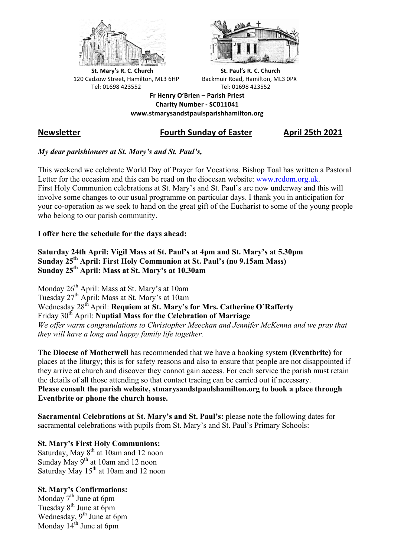



**St.** Mary's R. C. Church St. Paul's R. C. Church 120 Cadzow Street, Hamilton, ML3 6HP Backmuir Road, Hamilton, ML3 0PX Tel: 01698 423552 Tel: 01698 423552

**Fr Henry O'Brien – Parish Priest Charity Number - SC011041 www.stmarysandstpaulsparishhamilton.org**

# **Newsletter Fourth Sunday of Easter April 25th 2021**

### *My dear parishioners at St. Mary's and St. Paul's,*

This weekend we celebrate World Day of Prayer for Vocations. Bishop Toal has written a Pastoral Letter for the occasion and this can be read on the diocesan website: www.rcdom.org.uk. First Holy Communion celebrations at St. Mary's and St. Paul's are now underway and this will involve some changes to our usual programme on particular days. I thank you in anticipation for your co-operation as we seek to hand on the great gift of the Eucharist to some of the young people who belong to our parish community.

#### **I offer here the schedule for the days ahead:**

#### **Saturday 24th April: Vigil Mass at St. Paul's at 4pm and St. Mary's at 5.30pm Sunday 25th April: First Holy Communion at St. Paul's (no 9.15am Mass) Sunday 25th April: Mass at St. Mary's at 10.30am**

Monday 26<sup>th</sup> April: Mass at St. Mary's at 10am Tuesday 27th April: Mass at St. Mary's at 10am Wednesday 28<sup>th</sup> April: **Requiem at St. Mary's for Mrs. Catherine O'Rafferty** Friday 30th April: **Nuptial Mass for the Celebration of Marriage** *We offer warm congratulations to Christopher Meechan and Jennifer McKenna and we pray that they will have a long and happy family life together.*

**The Diocese of Motherwell** has recommended that we have a booking system **(Eventbrite)** for places at the liturgy; this is for safety reasons and also to ensure that people are not disappointed if they arrive at church and discover they cannot gain access. For each service the parish must retain the details of all those attending so that contact tracing can be carried out if necessary. **Please consult the parish website, stmarysandstpaulshamilton.org to book a place through Eventbrite or phone the church house.**

**Sacramental Celebrations at St. Mary's and St. Paul's:** please note the following dates for sacramental celebrations with pupils from St. Mary's and St. Paul's Primary Schools:

## **St. Mary's First Holy Communions:**

Saturday, May 8<sup>th</sup> at 10am and 12 noon Sunday May 9<sup>th</sup> at 10am and 12 noon Saturday May 15<sup>th</sup> at 10am and 12 noon

#### **St. Mary's Confirmations:**

Monday  $7<sup>th</sup>$  June at 6pm Tuesday 8<sup>th</sup> June at 6pm Wednesday, 9<sup>th</sup> June at 6pm Monday  $14<sup>th</sup>$  June at 6pm